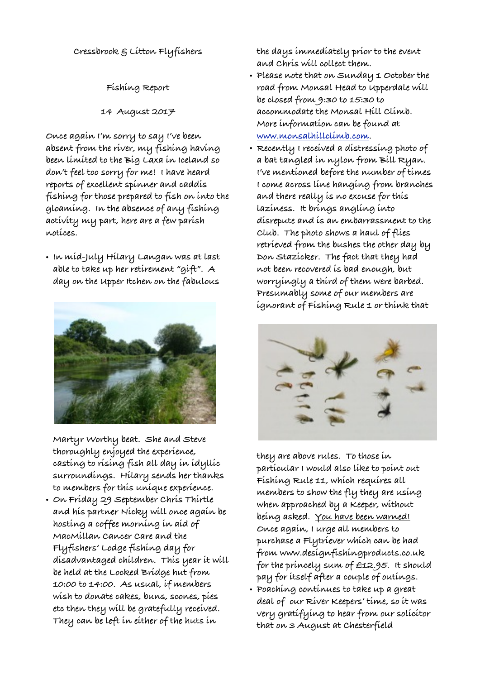**Cressbrook & Litton Flyfishers**

**Fishing Report**

**14 August 2017**

**Once again I'm sorry to say I've been absent from the river, my fishing having been limited to the Big Laxa in Iceland so don't feel too sorry for me! I have heard reports of excellent spinner and caddis fishing for those prepared to fish on into the gloaming. In the absence of any fishing activity my part, here are a few parish notices.**

**• In mid-July Hilary Langan was at last able to take up her retirement "gift". A day on the Upper Itchen on the fabulous** 



**Martyr Worthy beat. She and Steve thoroughly enjoyed the experience, casting to rising fish all day in idyllic surroundings. Hilary sends her thanks to members for this unique experience.**

**• On Friday 29 September Chris Thirtle and his partner Nicky will once again be hosting a coffee morning in aid of MacMillan Cancer Care and the Flyfishers' Lodge fishing day for disadvantaged children. This year it will be held at the Locked Bridge hut from 10:00 to 14:00. As usual, if members wish to donate cakes, buns, scones, pies etc then they will be gratefully received. They can be left in either of the huts in** 

**the days immediately prior to the event and Chris will collect them.** 

- **• Please note that on Sunday 1 October the road from Monsal Head to Upperdale will be closed from 9:30 to 15:30 to accommodate the Monsal Hill Climb. More information can be found at [www.monsalhillclimb.com.](http://www.monsalhillclimb.com)**
- **• Recently I received a distressing photo of a bat tangled in nylon from Bill Ryan. I've mentioned before the number of times I come across line hanging from branches and there really is no excuse for this laziness. It brings angling into disrepute and is an embarrassment to the Club. The photo shows a haul of flies retrieved from the bushes the other day by Don Stazicker. The fact that they had not been recovered is bad enough, but worryingly a third of them were barbed. Presumably some of our members are ignorant of Fishing Rule 1 or think that**



**they are above rules. To those in particular I would also like to point out Fishing Rule 11, which requires all members to show the fly they are using when approached by a Keeper, without being asked. You have been warned! Once again, I urge all members to purchase a Flytriever which can be had from www.designfishingproducts.co.uk for the princely sum of £12.95. It should pay for itself after a couple of outings.**

**• Poaching continues to take up a great deal of our River Keepers' time, so it was very gratifying to hear from our solicitor that on 3 August at Chesterfield**